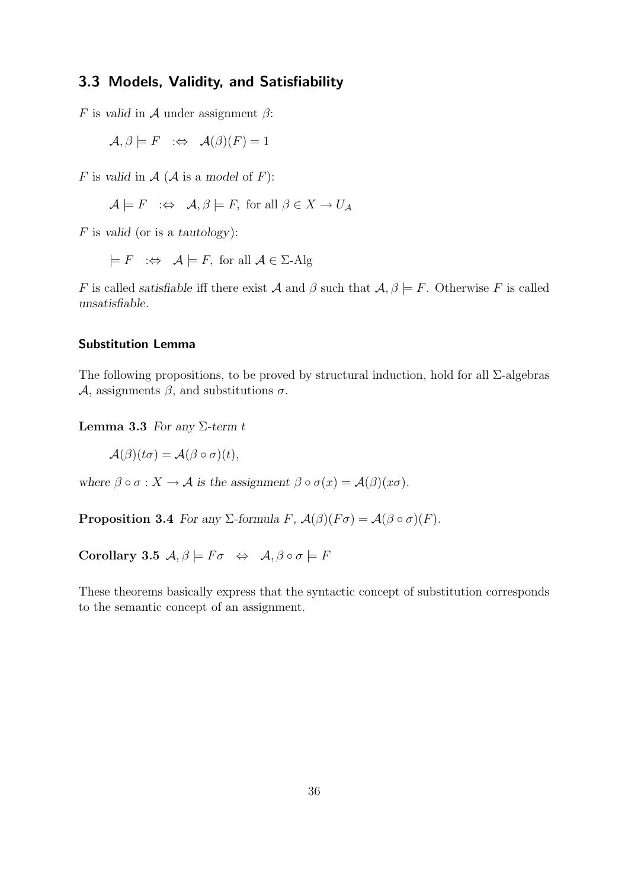# 3.3 Models, Validity, and Satisfiability

F is *valid* in A under assignment  $\beta$ :

 $\mathcal{A}, \beta \models F \Rightarrow \mathcal{A}(\beta)(F) = 1$ 

F is valid in  $A(A \text{ is a model of } F)$ :

$$
\mathcal{A} \models F \iff \mathcal{A}, \beta \models F
$$
, for all  $\beta \in X \to U_{\mathcal{A}}$ 

F is *valid* (or is a *tautology*):

$$
\models
$$
  $F \iff \mathcal{A} \models F$ , for all  $\mathcal{A} \in \Sigma$ -Alg

F is called *satisfiable* iff there exist A and  $\beta$  such that  $\mathcal{A}, \beta \models F$ . Otherwise F is called *unsatisfiable*.

## Substitution Lemma

The following propositions, to be proved by structural induction, hold for all  $\Sigma$ -algebras A, assignments  $\beta$ , and substitutions  $\sigma$ .

Lemma 3.3 *For any* Σ*-term* t

 $\mathcal{A}(\beta)(t\sigma) = \mathcal{A}(\beta \circ \sigma)(t),$ 

*where*  $\beta \circ \sigma : X \to \mathcal{A}$  *is the assignment*  $\beta \circ \sigma(x) = \mathcal{A}(\beta)(x\sigma)$ *.* 

**Proposition 3.4** *For any*  $\Sigma$ *-formula*  $F$ *,*  $\mathcal{A}(\beta)(F\sigma) = \mathcal{A}(\beta \circ \sigma)(F)$ *.* 

Corollary 3.5  $\mathcal{A}, \beta \models F\sigma \Leftrightarrow \mathcal{A}, \beta \circ \sigma \models F$ 

These theorems basically express that the syntactic concept of substitution corresponds to the semantic concept of an assignment.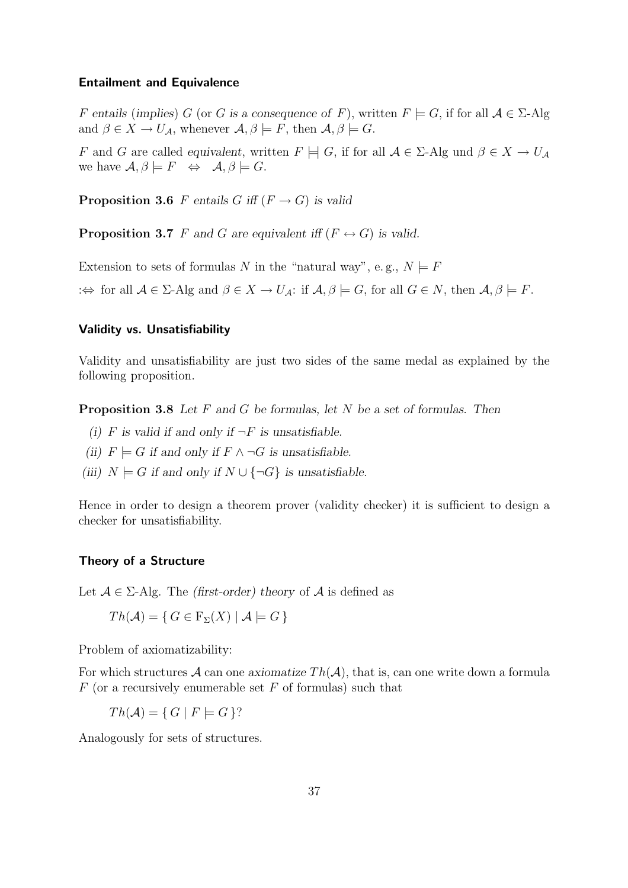#### Entailment and Equivalence

F entails (implies) G (or G is a consequence of F), written  $F \models G$ , if for all  $A \in \Sigma$ -Alg and  $\beta \in X \to U_{\mathcal{A}}$ , whenever  $\mathcal{A}, \beta \models F$ , then  $\mathcal{A}, \beta \models G$ .

F and G are called *equivalent*, written  $F \models G$ , if for all  $A \in \Sigma$ -Alg und  $\beta \in X \to U_A$ we have  $\mathcal{A}, \beta \models F \Leftrightarrow \mathcal{A}, \beta \models G$ .

**Proposition 3.6** F entails G iff  $(F \rightarrow G)$  is valid

**Proposition 3.7** F and G are equivalent iff  $(F \leftrightarrow G)$  is valid.

Extension to sets of formulas N in the "natural way", e.g.,  $N \models F$ : $\Leftrightarrow$  for all  $A \in \Sigma$ -Alg and  $\beta \in X \to U_A$ : if  $A, \beta \models G$ , for all  $G \in N$ , then  $A, \beta \models F$ .

## Validity vs. Unsatisfiability

Validity and unsatisfiability are just two sides of the same medal as explained by the following proposition.

Proposition 3.8 *Let* F *and* G *be formulas, let* N *be a set of formulas. Then*

- *(i)*  $F$  *is valid if and only if*  $\neg F$  *is unsatisfiable.*
- *(ii)*  $F$   $\models$  *G if and only if*  $F$  ∧  $\neg$ *G is unsatisfiable.*
- *(iii)*  $N \models G$  *if and only if*  $N \cup \{\neg G\}$  *is unsatisfiable.*

Hence in order to design a theorem prover (validity checker) it is sufficient to design a checker for unsatisfiability.

#### Theory of a Structure

Let  $A \in \Sigma$ -Alg. The *(first-order)* theory of A is defined as

$$
Th(\mathcal{A}) = \{ G \in \mathcal{F}_{\Sigma}(X) \mid \mathcal{A} \models G \}
$$

Problem of axiomatizability:

For which structures  $\mathcal A$  can one *axiomatize*  $Th(\mathcal A)$ , that is, can one write down a formula  $F$  (or a recursively enumerable set  $F$  of formulas) such that

 $Th(\mathcal{A}) = \{ G \mid F \models G \}$ ?

Analogously for sets of structures.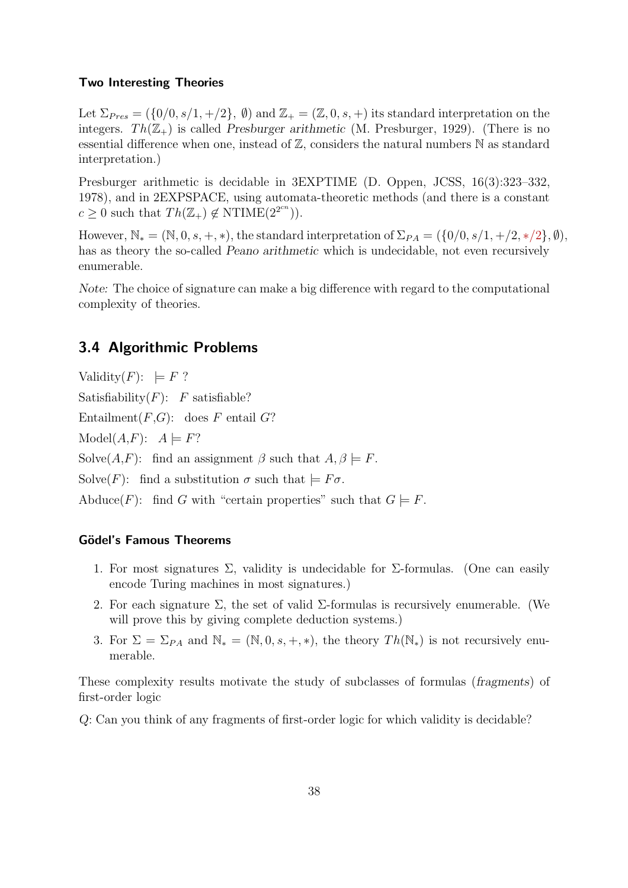#### Two Interesting Theories

Let  $\Sigma_{Pres} = (\{0/0, s/1, +/2\}, \emptyset)$  and  $\mathbb{Z}_+ = (\mathbb{Z}, 0, s, +)$  its standard interpretation on the integers.  $Th(\mathbb{Z}_+)$  is called *Presburger arithmetic* (M. Presburger, 1929). (There is no essential difference when one, instead of  $\mathbb{Z}$ , considers the natural numbers  $\mathbb N$  as standard interpretation.)

Presburger arithmetic is decidable in 3EXPTIME (D. Oppen, JCSS, 16(3):323–332, 1978), and in 2EXPSPACE, using automata-theoretic methods (and there is a constant  $c \geq 0$  such that  $Th(\mathbb{Z}_+) \notin \text{NTIME}(2^{2^{cn}})$ .

However,  $\mathbb{N}_* = (\mathbb{N}, 0, s, +, *)$ , the standard interpretation of  $\Sigma_{PA} = (\{0/0, s/1, +/2, *,2\}, \emptyset)$ , has as theory the so-called *Peano arithmetic* which is undecidable, not even recursively enumerable.

*Note:* The choice of signature can make a big difference with regard to the computational complexity of theories.

## 3.4 Algorithmic Problems

Validity $(F)$ :  $\models$   $F$  ? Satisfiability $(F)$ : F satisfiable? Entailment $(F,G)$ : does F entail G?  $Model(A, F): A \models F?$ Solve $(A, F)$ : find an assignment  $\beta$  such that  $A, \beta \models F$ . Solve(F): find a substitution  $\sigma$  such that  $\models$  F $\sigma$ . Abduce(F): find G with "certain properties" such that  $G \models F$ .

## Gödel's Famous Theorems

- 1. For most signatures  $\Sigma$ , validity is undecidable for  $\Sigma$ -formulas. (One can easily encode Turing machines in most signatures.)
- 2. For each signature  $\Sigma$ , the set of valid  $\Sigma$ -formulas is recursively enumerable. (We will prove this by giving complete deduction systems.)
- 3. For  $\Sigma = \Sigma_{PA}$  and  $\mathbb{N}_{*} = (\mathbb{N}, 0, s, +, *)$ , the theory  $Th(\mathbb{N}_{*})$  is not recursively enumerable.

These complexity results motivate the study of subclasses of formulas (*fragments*) of first-order logic

*Q*: Can you think of any fragments of first-order logic for which validity is decidable?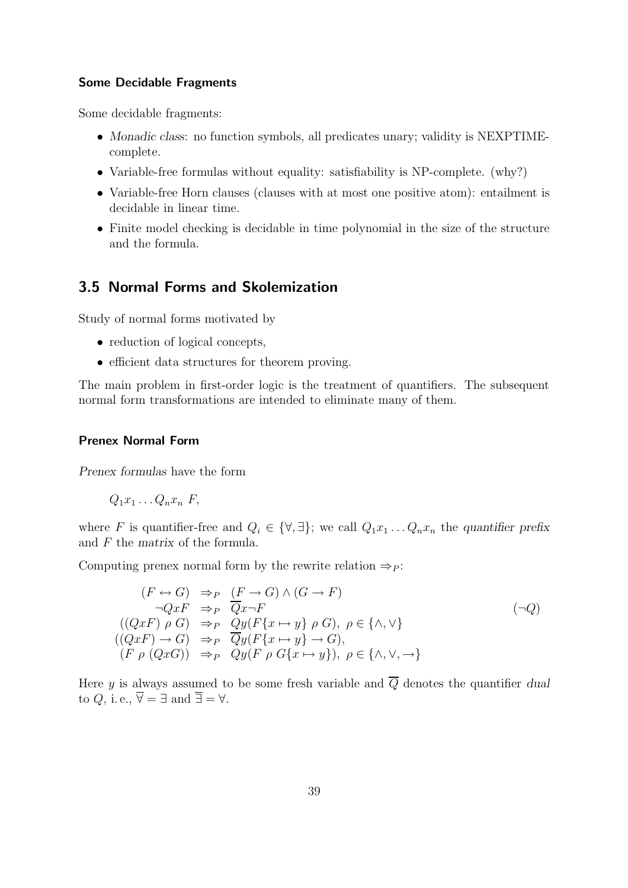#### Some Decidable Fragments

Some decidable fragments:

- *Monadic class*: no function symbols, all predicates unary; validity is NEXPTIMEcomplete.
- Variable-free formulas without equality: satisfiability is NP-complete. (why?)
- Variable-free Horn clauses (clauses with at most one positive atom): entailment is decidable in linear time.
- Finite model checking is decidable in time polynomial in the size of the structure and the formula.

## 3.5 Normal Forms and Skolemization

Study of normal forms motivated by

- reduction of logical concepts,
- efficient data structures for theorem proving.

The main problem in first-order logic is the treatment of quantifiers. The subsequent normal form transformations are intended to eliminate many of them.

#### Prenex Normal Form

*Prenex formulas* have the form

$$
Q_1x_1\ldots Q_nx_n F,
$$

where F is quantifier-free and  $Q_i \in \{\forall, \exists\}$ ; we call  $Q_1x_1 \ldots Q_nx_n$  the *quantifier prefix* and F the *matrix* of the formula.

Computing prenex normal form by the rewrite relation  $\Rightarrow P$ :

$$
(F \leftrightarrow G) \Rightarrow_{P} (F \to G) \land (G \to F)
$$
  
\n
$$
\neg QxF \Rightarrow_{P} \overline{Q}x \neg F
$$
  
\n
$$
((QxF) \rho \ G) \Rightarrow_{P} Qy(F\{x \mapsto y\} \rho \ G), \ \rho \in \{\land, \lor\}
$$
  
\n
$$
((QxF) \to G) \Rightarrow_{P} \overline{Q}y(F\{x \mapsto y\} \to G),
$$
  
\n
$$
(F \rho (QxG)) \Rightarrow_{P} Qy(F \rho G\{x \mapsto y\}), \ \rho \in \{\land, \lor, \to\}
$$

Here y is always assumed to be some fresh variable and  $\overline{Q}$  denotes the quantifier *dual* to Q, i.e.,  $\overline{\forall} = \exists$  and  $\overline{\exists} = \forall$ .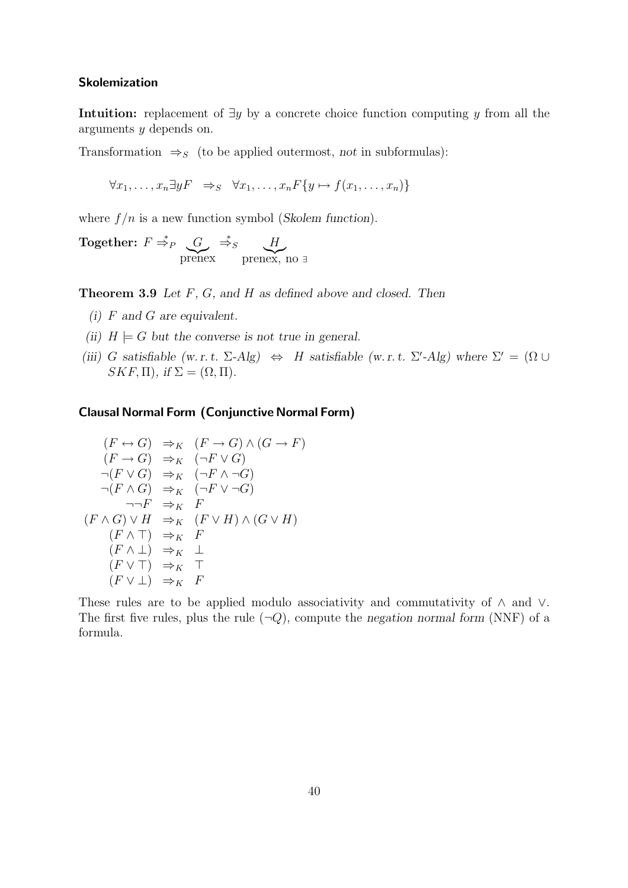#### Skolemization

Intuition: replacement of  $\exists y$  by a concrete choice function computing y from all the arguments y depends on.

Transformation  $\Rightarrow$ <sub>S</sub> (to be applied outermost, *not* in subformulas):

$$
\forall x_1, \ldots, x_n \exists y F \Rightarrow_S \forall x_1, \ldots, x_n F\{y \mapsto f(x_1, \ldots, x_n)\}\
$$

where  $f/n$  is a new function symbol (*Skolem function*).

Together:  $F \stackrel{*}{\Rightarrow}_P \underbrace{G}_{\text{brene}}$  $\overline{G} \stackrel{*}{\Rightarrow}_{S} \underbrace{H}_{\text{prenex, s}}$ prenex, no <sup>∃</sup>

Theorem 3.9 *Let* F*,* G*, and* H *as defined above and closed. Then*

- *(i)* F *and* G *are equivalent.*
- *(ii)*  $H \models G$  *but the converse is not true in general.*
- (*iii*) G satisfiable (w. r. t.  $\Sigma$ -Alg)  $\Leftrightarrow$  H satisfiable (w. r. t.  $\Sigma'$ -Alg) where  $\Sigma' = (\Omega \cup$  $SKF, \Pi)$ *, if*  $\Sigma = (\Omega, \Pi)$ *.*

## Clausal Normal Form (Conjunctive Normal Form)

$$
(F \leftrightarrow G) \Rightarrow_K (F \to G) \land (G \to F)
$$
  
\n
$$
(F \to G) \Rightarrow_K (\neg F \lor G)
$$
  
\n
$$
\neg (F \lor G) \Rightarrow_K (\neg F \land \neg G)
$$
  
\n
$$
\neg (F \land G) \Rightarrow_K (\neg F \lor \neg G)
$$
  
\n
$$
\neg \neg F \Rightarrow_K F
$$
  
\n
$$
(F \land G) \lor H \Rightarrow_K (F \lor H) \land (G \lor H)
$$
  
\n
$$
(F \land \bot) \Rightarrow_K F
$$
  
\n
$$
(F \lor \top) \Rightarrow_K \top
$$
  
\n
$$
(F \lor \bot) \Rightarrow_K F
$$

These rules are to be applied modulo associativity and commutativity of  $\wedge$  and  $\vee$ . The first five rules, plus the rule  $(\neg Q)$ , compute the *negation normal form* (NNF) of a formula.